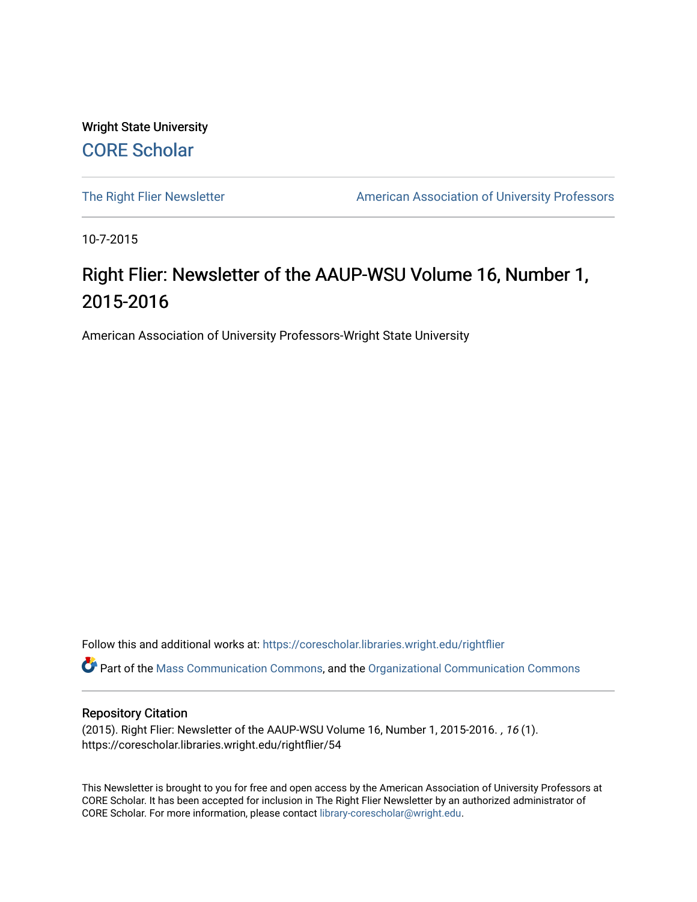Wright State University [CORE Scholar](https://corescholar.libraries.wright.edu/)

[The Right Flier Newsletter](https://corescholar.libraries.wright.edu/rightflier) **American Association of University Professors** 

10-7-2015

### Right Flier: Newsletter of the AAUP-WSU Volume 16, Number 1, 2015-2016

American Association of University Professors-Wright State University

Follow this and additional works at: [https://corescholar.libraries.wright.edu/rightflier](https://corescholar.libraries.wright.edu/rightflier?utm_source=corescholar.libraries.wright.edu%2Frightflier%2F54&utm_medium=PDF&utm_campaign=PDFCoverPages) 

Part of the [Mass Communication Commons,](http://network.bepress.com/hgg/discipline/334?utm_source=corescholar.libraries.wright.edu%2Frightflier%2F54&utm_medium=PDF&utm_campaign=PDFCoverPages) and the [Organizational Communication Commons](http://network.bepress.com/hgg/discipline/335?utm_source=corescholar.libraries.wright.edu%2Frightflier%2F54&utm_medium=PDF&utm_campaign=PDFCoverPages) 

#### Repository Citation

(2015). Right Flier: Newsletter of the AAUP-WSU Volume 16, Number 1, 2015-2016. , 16 (1). https://corescholar.libraries.wright.edu/rightflier/54

This Newsletter is brought to you for free and open access by the American Association of University Professors at CORE Scholar. It has been accepted for inclusion in The Right Flier Newsletter by an authorized administrator of CORE Scholar. For more information, please contact [library-corescholar@wright.edu](mailto:library-corescholar@wright.edu).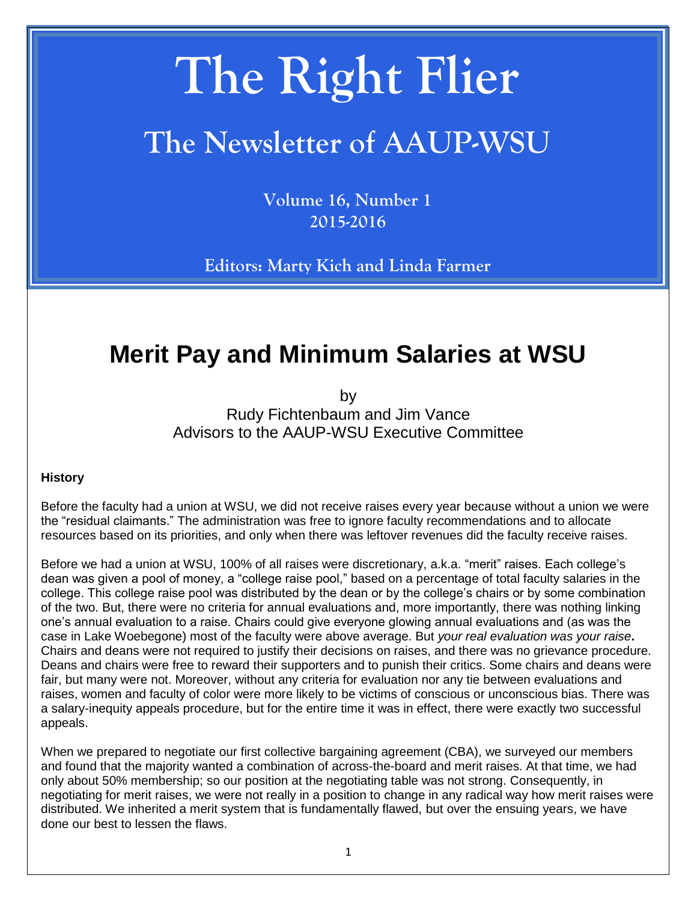# **The Right Flier**

# **The Newsletter of AAUP-WSU**

**Volume 16, Number 1 2015-2016**

**Editors: Marty Kich and Linda Farmer**

## **Merit Pay and Minimum Salaries at WSU**

by Rudy Fichtenbaum and Jim Vance Advisors to the AAUP-WSU Executive Committee

#### **History**

Before the faculty had a union at WSU, we did not receive raises every year because without a union we were the "residual claimants." The administration was free to ignore faculty recommendations and to allocate resources based on its priorities, and only when there was leftover revenues did the faculty receive raises.

Before we had a union at WSU, 100% of all raises were discretionary, a.k.a. "merit" raises. Each college's dean was given a pool of money, a "college raise pool," based on a percentage of total faculty salaries in the college. This college raise pool was distributed by the dean or by the college's chairs or by some combination of the two. But, there were no criteria for annual evaluations and, more importantly, there was nothing linking one's annual evaluation to a raise. Chairs could give everyone glowing annual evaluations and (as was the case in Lake Woebegone) most of the faculty were above average. But *your real evaluation was your raise***.**  Chairs and deans were not required to justify their decisions on raises, and there was no grievance procedure. Deans and chairs were free to reward their supporters and to punish their critics. Some chairs and deans were fair, but many were not. Moreover, without any criteria for evaluation nor any tie between evaluations and raises, women and faculty of color were more likely to be victims of conscious or unconscious bias. There was a salary-inequity appeals procedure, but for the entire time it was in effect, there were exactly two successful appeals.

When we prepared to negotiate our first collective bargaining agreement (CBA), we surveyed our members and found that the majority wanted a combination of across-the-board and merit raises. At that time, we had only about 50% membership; so our position at the negotiating table was not strong. Consequently, in negotiating for merit raises, we were not really in a position to change in any radical way how merit raises were distributed. We inherited a merit system that is fundamentally flawed, but over the ensuing years, we have done our best to lessen the flaws.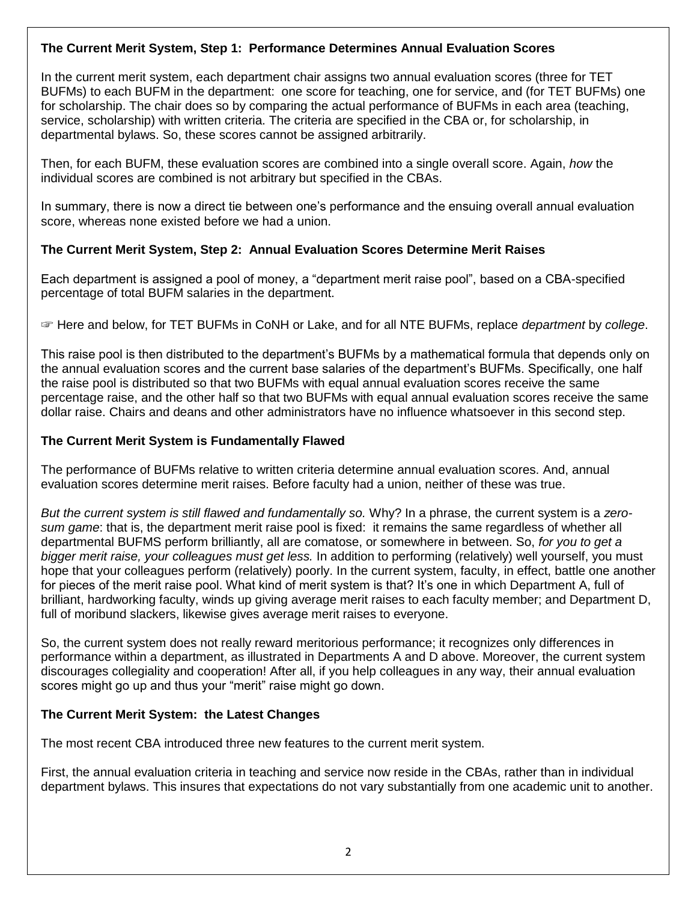#### **The Current Merit System, Step 1: Performance Determines Annual Evaluation Scores**

In the current merit system, each department chair assigns two annual evaluation scores (three for TET BUFMs) to each BUFM in the department: one score for teaching, one for service, and (for TET BUFMs) one for scholarship. The chair does so by comparing the actual performance of BUFMs in each area (teaching, service, scholarship) with written criteria. The criteria are specified in the CBA or, for scholarship, in departmental bylaws. So, these scores cannot be assigned arbitrarily.

Then, for each BUFM, these evaluation scores are combined into a single overall score. Again, *how* the individual scores are combined is not arbitrary but specified in the CBAs.

In summary, there is now a direct tie between one's performance and the ensuing overall annual evaluation score, whereas none existed before we had a union.

#### **The Current Merit System, Step 2: Annual Evaluation Scores Determine Merit Raises**

Each department is assigned a pool of money, a "department merit raise pool", based on a CBA-specified percentage of total BUFM salaries in the department.

☞ Here and below, for TET BUFMs in CoNH or Lake, and for all NTE BUFMs, replace *department* by *college*.

This raise pool is then distributed to the department's BUFMs by a mathematical formula that depends only on the annual evaluation scores and the current base salaries of the department's BUFMs. Specifically, one half the raise pool is distributed so that two BUFMs with equal annual evaluation scores receive the same percentage raise, and the other half so that two BUFMs with equal annual evaluation scores receive the same dollar raise. Chairs and deans and other administrators have no influence whatsoever in this second step.

#### **The Current Merit System is Fundamentally Flawed**

The performance of BUFMs relative to written criteria determine annual evaluation scores. And, annual evaluation scores determine merit raises. Before faculty had a union, neither of these was true.

*But the current system is still flawed and fundamentally so.* Why? In a phrase, the current system is a *zerosum game*: that is, the department merit raise pool is fixed: it remains the same regardless of whether all departmental BUFMS perform brilliantly, all are comatose, or somewhere in between. So, *for you to get a bigger merit raise, your colleagues must get less.* In addition to performing (relatively) well yourself, you must hope that your colleagues perform (relatively) poorly. In the current system, faculty, in effect, battle one another for pieces of the merit raise pool. What kind of merit system is that? It's one in which Department A, full of brilliant, hardworking faculty, winds up giving average merit raises to each faculty member; and Department D, full of moribund slackers, likewise gives average merit raises to everyone.

So, the current system does not really reward meritorious performance; it recognizes only differences in performance within a department, as illustrated in Departments A and D above. Moreover, the current system discourages collegiality and cooperation! After all, if you help colleagues in any way, their annual evaluation scores might go up and thus your "merit" raise might go down.

#### **The Current Merit System: the Latest Changes**

The most recent CBA introduced three new features to the current merit system.

First, the annual evaluation criteria in teaching and service now reside in the CBAs, rather than in individual department bylaws. This insures that expectations do not vary substantially from one academic unit to another.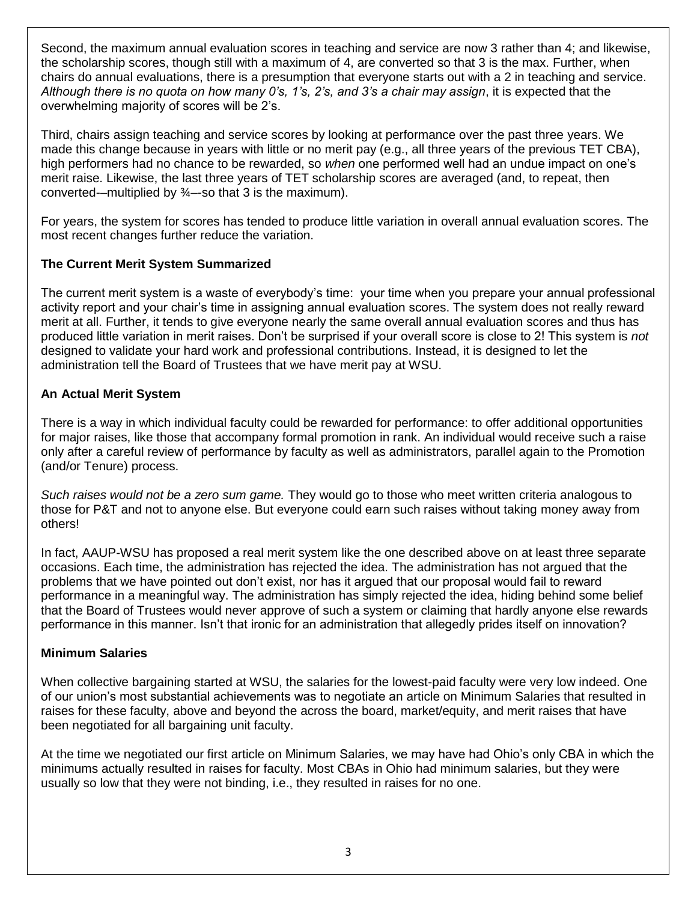Second, the maximum annual evaluation scores in teaching and service are now 3 rather than 4; and likewise, the scholarship scores, though still with a maximum of 4, are converted so that 3 is the max. Further, when chairs do annual evaluations, there is a presumption that everyone starts out with a 2 in teaching and service. *Although there is no quota on how many 0's, 1's, 2's, and 3's a chair may assign*, it is expected that the overwhelming majority of scores will be 2's.

Third, chairs assign teaching and service scores by looking at performance over the past three years. We made this change because in years with little or no merit pay (e.g., all three years of the previous TET CBA), high performers had no chance to be rewarded, so *when* one performed well had an undue impact on one's merit raise. Likewise, the last three years of TET scholarship scores are averaged (and, to repeat, then converted-–multiplied by  $\frac{3}{4}$ –-so that 3 is the maximum).

For years, the system for scores has tended to produce little variation in overall annual evaluation scores. The most recent changes further reduce the variation.

#### **The Current Merit System Summarized**

The current merit system is a waste of everybody's time: your time when you prepare your annual professional activity report and your chair's time in assigning annual evaluation scores. The system does not really reward merit at all. Further, it tends to give everyone nearly the same overall annual evaluation scores and thus has produced little variation in merit raises. Don't be surprised if your overall score is close to 2! This system is *not* designed to validate your hard work and professional contributions. Instead, it is designed to let the administration tell the Board of Trustees that we have merit pay at WSU.

#### **An Actual Merit System**

There is a way in which individual faculty could be rewarded for performance: to offer additional opportunities for major raises, like those that accompany formal promotion in rank. An individual would receive such a raise only after a careful review of performance by faculty as well as administrators, parallel again to the Promotion (and/or Tenure) process.

*Such raises would not be a zero sum game.* They would go to those who meet written criteria analogous to those for P&T and not to anyone else. But everyone could earn such raises without taking money away from others!

In fact, AAUP-WSU has proposed a real merit system like the one described above on at least three separate occasions. Each time, the administration has rejected the idea. The administration has not argued that the problems that we have pointed out don't exist, nor has it argued that our proposal would fail to reward performance in a meaningful way. The administration has simply rejected the idea, hiding behind some belief that the Board of Trustees would never approve of such a system or claiming that hardly anyone else rewards performance in this manner. Isn't that ironic for an administration that allegedly prides itself on innovation?

#### **Minimum Salaries**

When collective bargaining started at WSU, the salaries for the lowest-paid faculty were very low indeed. One of our union's most substantial achievements was to negotiate an article on Minimum Salaries that resulted in raises for these faculty, above and beyond the across the board, market/equity, and merit raises that have been negotiated for all bargaining unit faculty.

At the time we negotiated our first article on Minimum Salaries, we may have had Ohio's only CBA in which the minimums actually resulted in raises for faculty. Most CBAs in Ohio had minimum salaries, but they were usually so low that they were not binding, i.e., they resulted in raises for no one.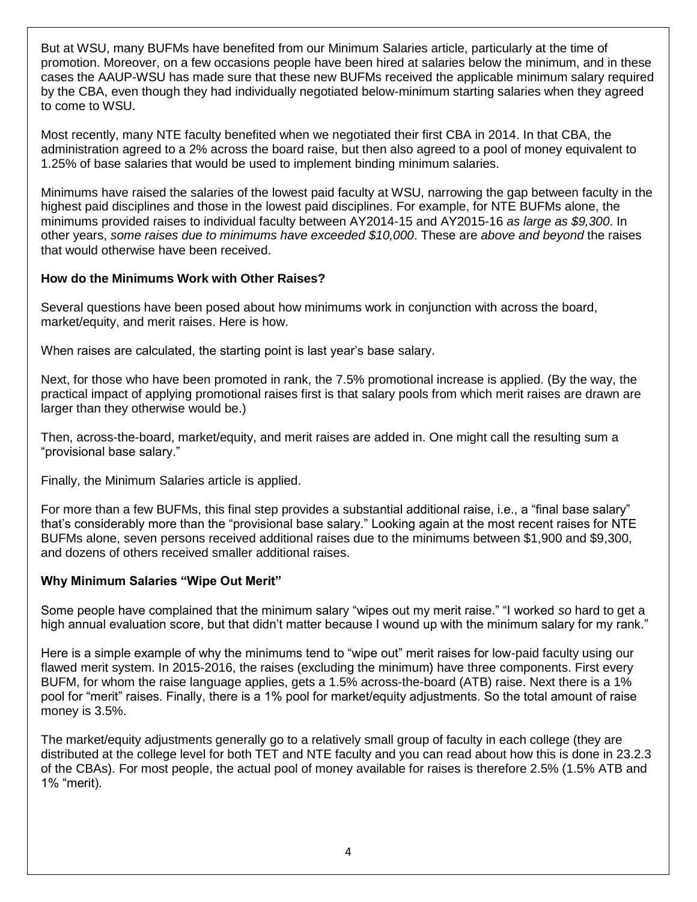But at WSU, many BUFMs have benefited from our Minimum Salaries article, particularly at the time of promotion. Moreover, on a few occasions people have been hired at salaries below the minimum, and in these cases the AAUP-WSU has made sure that these new BUFMs received the applicable minimum salary required by the CBA, even though they had individually negotiated below-minimum starting salaries when they agreed to come to WSU.

Most recently, many NTE faculty benefited when we negotiated their first CBA in 2014. In that CBA, the administration agreed to a 2% across the board raise, but then also agreed to a pool of money equivalent to 1.25% of base salaries that would be used to implement binding minimum salaries.

Minimums have raised the salaries of the lowest paid faculty at WSU, narrowing the gap between faculty in the highest paid disciplines and those in the lowest paid disciplines. For example, for NTE BUFMs alone, the minimums provided raises to individual faculty between AY2014-15 and AY2015-16 *as large as \$9,300*. In other years, *some raises due to minimums have exceeded \$10,000*. These are *above and beyond* the raises that would otherwise have been received.

#### **How do the Minimums Work with Other Raises?**

Several questions have been posed about how minimums work in conjunction with across the board, market/equity, and merit raises. Here is how.

When raises are calculated, the starting point is last year's base salary.

Next, for those who have been promoted in rank, the 7.5% promotional increase is applied. (By the way, the practical impact of applying promotional raises first is that salary pools from which merit raises are drawn are larger than they otherwise would be.)

Then, across-the-board, market/equity, and merit raises are added in. One might call the resulting sum a "provisional base salary."

Finally, the Minimum Salaries article is applied.

For more than a few BUFMs, this final step provides a substantial additional raise, i.e., a "final base salary" that's considerably more than the "provisional base salary." Looking again at the most recent raises for NTE BUFMs alone, seven persons received additional raises due to the minimums between \$1,900 and \$9,300, and dozens of others received smaller additional raises.

#### **Why Minimum Salaries "Wipe Out Merit"**

Some people have complained that the minimum salary "wipes out my merit raise." "I worked *so* hard to get a high annual evaluation score, but that didn't matter because I wound up with the minimum salary for my rank."

Here is a simple example of why the minimums tend to "wipe out" merit raises for low-paid faculty using our flawed merit system. In 2015-2016, the raises (excluding the minimum) have three components. First every BUFM, for whom the raise language applies, gets a 1.5% across-the-board (ATB) raise. Next there is a 1% pool for "merit" raises. Finally, there is a 1% pool for market/equity adjustments. So the total amount of raise money is 3.5%.

The market/equity adjustments generally go to a relatively small group of faculty in each college (they are distributed at the college level for both TET and NTE faculty and you can read about how this is done in 23.2.3 of the CBAs). For most people, the actual pool of money available for raises is therefore 2.5% (1.5% ATB and 1% "merit).